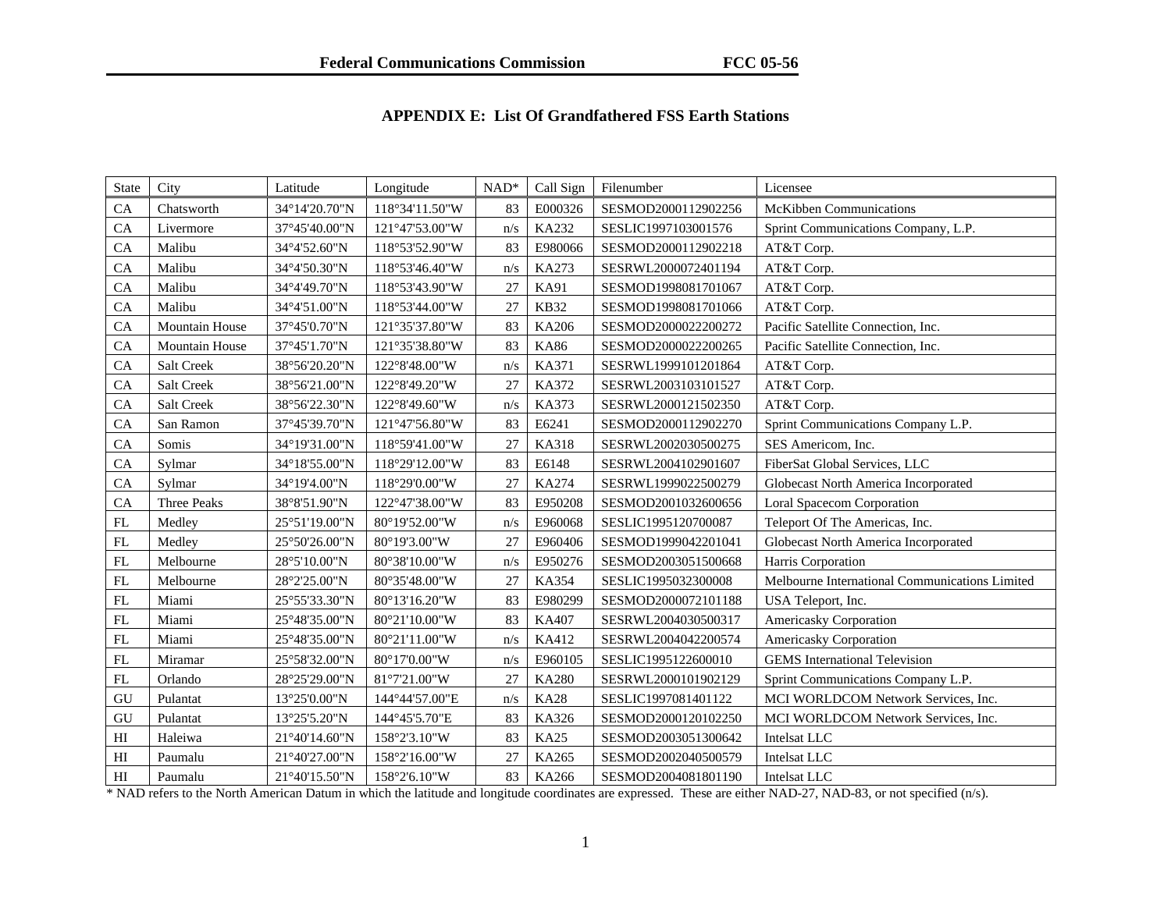| State                      | City               | Latitude      | Longitude      | $NAD*$ | Call Sign    | Filenumber          | Licensee                                       |
|----------------------------|--------------------|---------------|----------------|--------|--------------|---------------------|------------------------------------------------|
| CA                         | Chatsworth         | 34°14'20.70"N | 118°34'11.50"W | 83     | E000326      | SESMOD2000112902256 | <b>McKibben Communications</b>                 |
| CA                         | Livermore          | 37°45'40.00"N | 121°47'53.00"W | n/s    | KA232        | SESLIC1997103001576 | Sprint Communications Company, L.P.            |
| CA                         | Malibu             | 34°4'52.60"N  | 118°53'52.90"W | 83     | E980066      | SESMOD2000112902218 | AT&T Corp.                                     |
| CA                         | Malibu             | 34°4'50.30"N  | 118°53'46.40"W | n/s    | KA273        | SESRWL2000072401194 | AT&T Corp.                                     |
| CA                         | Malibu             | 34°4'49.70"N  | 118°53'43.90"W | 27     | <b>KA91</b>  | SESMOD1998081701067 | AT&T Corp.                                     |
| CA                         | Malibu             | 34°4'51.00"N  | 118°53'44.00"W | 27     | <b>KB32</b>  | SESMOD1998081701066 | AT&T Corp.                                     |
| CA                         | Mountain House     | 37°45'0.70"N  | 121°35'37.80"W | 83     | <b>KA206</b> | SESMOD2000022200272 | Pacific Satellite Connection, Inc.             |
| CA                         | Mountain House     | 37°45'1.70"N  | 121°35'38.80"W | 83     | <b>KA86</b>  | SESMOD2000022200265 | Pacific Satellite Connection, Inc.             |
| CA                         | Salt Creek         | 38°56'20.20"N | 122°8'48.00"W  | n/s    | KA371        | SESRWL1999101201864 | AT&T Corp.                                     |
| CA                         | Salt Creek         | 38°56'21.00"N | 122°8'49.20"W  | 27     | KA372        | SESRWL2003103101527 | AT&T Corp.                                     |
| CA                         | Salt Creek         | 38°56'22.30"N | 122°8'49.60"W  | n/s    | KA373        | SESRWL2000121502350 | AT&T Corp.                                     |
| CA                         | San Ramon          | 37°45'39.70"N | 121°47'56.80"W | 83     | E6241        | SESMOD2000112902270 | Sprint Communications Company L.P.             |
| CA                         | Somis              | 34°19'31.00"N | 118°59'41.00"W | 27     | <b>KA318</b> | SESRWL2002030500275 | SES Americom, Inc.                             |
| CA                         | Sylmar             | 34°18'55.00"N | 118°29'12.00"W | 83     | E6148        | SESRWL2004102901607 | FiberSat Global Services, LLC                  |
| CA                         | Sylmar             | 34°19'4.00"N  | 118°29'0.00"W  | 27     | <b>KA274</b> | SESRWL1999022500279 | Globecast North America Incorporated           |
| CA                         | <b>Three Peaks</b> | 38°8'51.90"N  | 122°47'38.00"W | 83     | E950208      | SESMOD2001032600656 | Loral Spacecom Corporation                     |
| $\mathop{\rm FL}\nolimits$ | Medley             | 25°51'19.00"N | 80°19'52.00"W  | n/s    | E960068      | SESLIC1995120700087 | Teleport Of The Americas, Inc.                 |
| FL                         | Medley             | 25°50'26.00"N | 80°19'3.00"W   | 27     | E960406      | SESMOD1999042201041 | Globecast North America Incorporated           |
| FL                         | Melbourne          | 28°5'10.00"N  | 80°38'10.00"W  | n/s    | E950276      | SESMOD2003051500668 | Harris Corporation                             |
| $\mathop{\rm FL}\nolimits$ | Melbourne          | 28°2'25.00"N  | 80°35'48.00"W  | 27     | <b>KA354</b> | SESLIC1995032300008 | Melbourne International Communications Limited |
| FL                         | Miami              | 25°55'33.30"N | 80°13'16.20"W  | 83     | E980299      | SESMOD2000072101188 | USA Teleport, Inc.                             |
| FL                         | Miami              | 25°48'35.00"N | 80°21'10.00"W  | 83     | <b>KA407</b> | SESRWL2004030500317 | Americasky Corporation                         |
| FL                         | Miami              | 25°48'35.00"N | 80°21'11.00"W  | n/s    | KA412        | SESRWL2004042200574 | Americasky Corporation                         |
| FL                         | Miramar            | 25°58'32.00"N | 80°17'0.00"W   | n/s    | E960105      | SESLIC1995122600010 | <b>GEMS</b> International Television           |
| $\mathop{\rm FL}\nolimits$ | Orlando            | 28°25'29.00"N | 81°7'21.00"W   | 27     | <b>KA280</b> | SESRWL2000101902129 | Sprint Communications Company L.P.             |
| GU                         | Pulantat           | 13°25'0.00"N  | 144°44'57.00"E | n/s    | <b>KA28</b>  | SESLIC1997081401122 | MCI WORLDCOM Network Services, Inc.            |
| GU                         | Pulantat           | 13°25'5.20"N  | 144°45'5.70"E  | 83     | KA326        | SESMOD2000120102250 | MCI WORLDCOM Network Services, Inc.            |
| H                          | Haleiwa            | 21°40'14.60"N | 158°2'3.10"W   | 83     | <b>KA25</b>  | SESMOD2003051300642 | Intelsat LLC                                   |
| $\mathop{\rm HI}\nolimits$ | Paumalu            | 21°40'27.00"N | 158°2'16.00"W  | 27     | KA265        | SESMOD2002040500579 | Intelsat LLC                                   |
| H                          | Paumalu            | 21°40'15.50"N | 158°2'6.10"W   | 83     | KA266        | SESMOD2004081801190 | Intelsat LLC                                   |

## **APPENDIX E: List Of Grandfathered FSS Earth Stations**

HI Paumalu 21°40'15.50"N 158°2'6.10"W 83 KA266 SESMOD2004081801190 Intelsat LLC<br>\* NAD refers to the North American Datum in which the latitude and longitude coordinates are expressed. These are either NAD-27, NAD-83, or no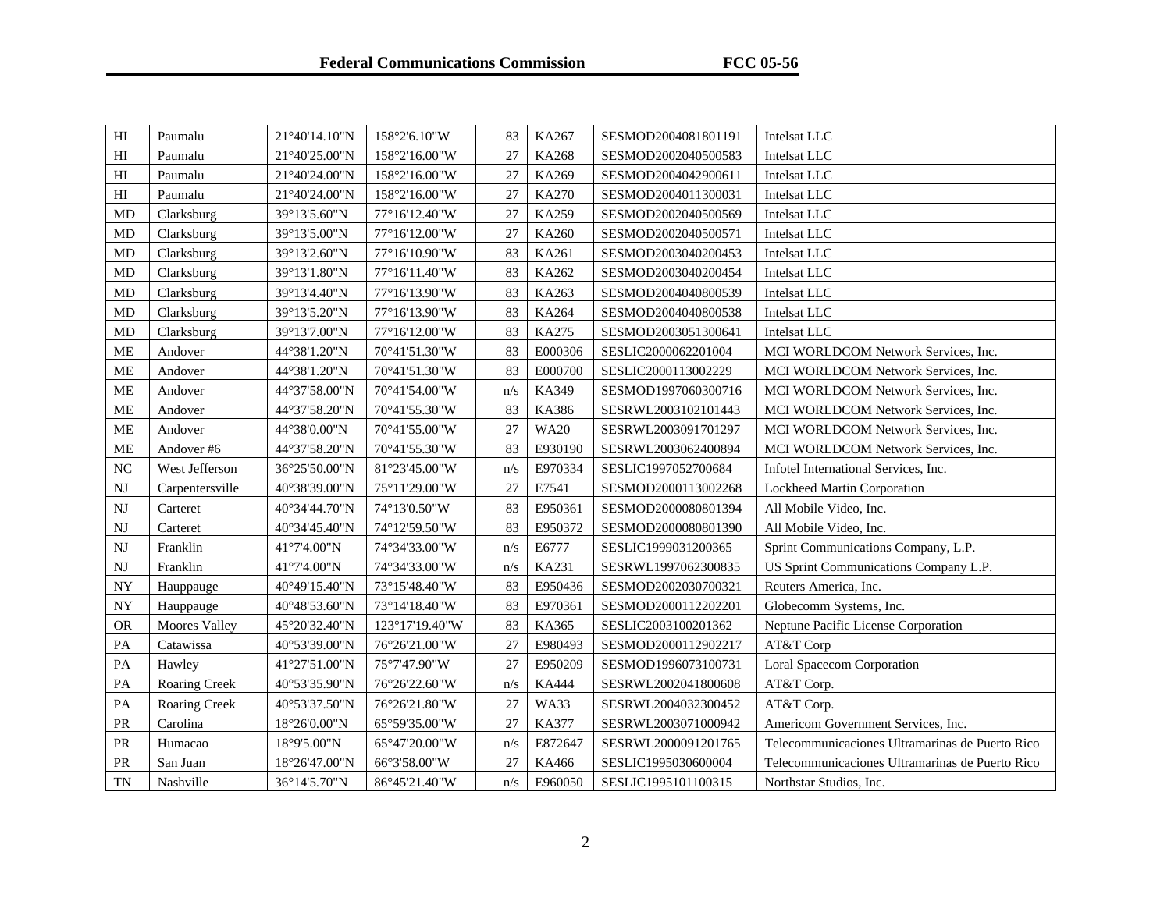**Federal Communications Commission** 

**FCC 05-56** 

| H <sub>I</sub>                    | Paumalu         | 21°40'14.10"N | 158°2'6.10"W            | 83  | KA267        | SESMOD2004081801191 | Intelsat LLC                                    |
|-----------------------------------|-----------------|---------------|-------------------------|-----|--------------|---------------------|-------------------------------------------------|
| H <sub>I</sub>                    | Paumalu         | 21°40'25.00"N | 158°2'16.00"W           | 27  | <b>KA268</b> | SESMOD2002040500583 | Intelsat LLC                                    |
|                                   |                 |               |                         |     |              |                     |                                                 |
| H <sub>I</sub>                    | Paumalu         | 21°40'24.00"N | $158^{\circ}2'16.00''W$ | 27  | KA269        | SESMOD2004042900611 | Intelsat LLC                                    |
| H <sub>I</sub>                    | Paumalu         | 21°40'24.00"N | 158°2'16.00"W           | 27  | <b>KA270</b> | SESMOD2004011300031 | Intelsat LLC                                    |
| MD                                | Clarksburg      | 39°13'5.60"N  | 77°16'12.40"W           | 27  | KA259        | SESMOD2002040500569 | Intelsat LLC                                    |
| <b>MD</b>                         | Clarksburg      | 39°13'5.00"N  | 77°16'12.00"W           | 27  | KA260        | SESMOD2002040500571 | Intelsat LLC                                    |
| <b>MD</b>                         | Clarksburg      | 39°13'2.60"N  | 77°16'10.90"W           | 83  | KA261        | SESMOD2003040200453 | Intelsat LLC                                    |
| MD                                | Clarksburg      | 39°13'1.80"N  | 77°16'11.40"W           | 83  | KA262        | SESMOD2003040200454 | Intelsat LLC                                    |
| <b>MD</b>                         | Clarksburg      | 39°13'4.40"N  | 77°16'13.90"W           | 83  | KA263        | SESMOD2004040800539 | Intelsat LLC                                    |
| <b>MD</b>                         | Clarksburg      | 39°13'5.20"N  | 77°16'13.90"W           | 83  | KA264        | SESMOD2004040800538 | Intelsat LLC                                    |
| MD                                | Clarksburg      | 39°13'7.00"N  | 77°16'12.00"W           | 83  | KA275        | SESMOD2003051300641 | Intelsat LLC                                    |
| <b>ME</b>                         | Andover         | 44°38'1.20"N  | 70°41'51.30"W           | 83  | E000306      | SESLIC2000062201004 | MCI WORLDCOM Network Services, Inc.             |
| <b>ME</b>                         | Andover         | 44°38'1.20"N  | 70°41'51.30"W           | 83  | E000700      | SESLIC2000113002229 | MCI WORLDCOM Network Services, Inc.             |
| <b>ME</b>                         | Andover         | 44°37'58.00"N | 70°41'54.00"W           | n/s | KA349        | SESMOD1997060300716 | MCI WORLDCOM Network Services, Inc.             |
| <b>ME</b>                         | Andover         | 44°37'58.20"N | 70°41'55.30"W           | 83  | <b>KA386</b> | SESRWL2003102101443 | MCI WORLDCOM Network Services, Inc.             |
| <b>ME</b>                         | Andover         | 44°38'0.00"N  | 70°41'55.00"W           | 27  | <b>WA20</b>  | SESRWL2003091701297 | MCI WORLDCOM Network Services, Inc.             |
| ME                                | Andover #6      | 44°37'58.20"N | 70°41'55.30"W           | 83  | E930190      | SESRWL2003062400894 | MCI WORLDCOM Network Services, Inc.             |
| <b>NC</b>                         | West Jefferson  | 36°25'50.00"N | 81°23'45.00"W           | n/s | E970334      | SESLIC1997052700684 | Infotel International Services, Inc.            |
| NJ                                | Carpentersville | 40°38'39.00"N | 75°11'29.00"W           | 27  | E7541        | SESMOD2000113002268 | Lockheed Martin Corporation                     |
| NJ                                | Carteret        | 40°34'44.70"N | 74°13'0.50"W            | 83  | E950361      | SESMOD2000080801394 | All Mobile Video, Inc.                          |
| NJ                                | Carteret        | 40°34'45.40"N | 74°12'59.50"W           | 83  | E950372      | SESMOD2000080801390 | All Mobile Video, Inc.                          |
| NJ                                | Franklin        | 41°7'4.00"N   | 74°34'33.00"W           | n/s | E6777        | SESLIC1999031200365 | Sprint Communications Company, L.P.             |
| NJ                                | Franklin        | 41°7'4.00"N   | 74°34'33.00"W           | n/s | KA231        | SESRWL1997062300835 | US Sprint Communications Company L.P.           |
| <b>NY</b>                         | Hauppauge       | 40°49'15.40"N | 73°15'48.40"W           | 83  | E950436      | SESMOD2002030700321 | Reuters America, Inc.                           |
| NY                                | Hauppauge       | 40°48'53.60"N | 73°14'18.40"W           | 83  | E970361      | SESMOD2000112202201 | Globecomm Systems, Inc.                         |
| <b>OR</b>                         | Moores Valley   | 45°20'32.40"N | 123°17'19.40"W          | 83  | KA365        | SESLIC2003100201362 | Neptune Pacific License Corporation             |
| PA                                | Catawissa       | 40°53'39.00"N | 76°26'21.00"W           | 27  | E980493      | SESMOD2000112902217 | AT&T Corp                                       |
| PA                                | Hawley          | 41°27'51.00"N | 75°7'47.90"W            | 27  | E950209      | SESMOD1996073100731 | Loral Spacecom Corporation                      |
| PA                                | Roaring Creek   | 40°53'35.90"N | 76°26'22.60"W           | n/s | <b>KA444</b> | SESRWL2002041800608 | AT&T Corp.                                      |
| PA                                | Roaring Creek   | 40°53'37.50"N | 76°26'21.80"W           | 27  | WA33         | SESRWL2004032300452 | AT&T Corp.                                      |
| PR                                | Carolina        | 18°26'0.00"N  | 65°59'35.00"W           | 27  | <b>KA377</b> | SESRWL2003071000942 | Americom Government Services, Inc.              |
| PR                                | Humacao         | 18°9'5.00"N   | 65°47'20.00"W           | n/s | E872647      | SESRWL2000091201765 | Telecommunicaciones Ultramarinas de Puerto Rico |
| $\ensuremath{\mathsf{PR}}\xspace$ | San Juan        | 18°26'47.00"N | 66°3'58.00"W            | 27  | KA466        | SESLIC1995030600004 | Telecommunicaciones Ultramarinas de Puerto Rico |
| <b>TN</b>                         | Nashville       | 36°14'5.70"N  | 86°45'21.40"W           | n/s | E960050      | SESLIC1995101100315 | Northstar Studios, Inc.                         |